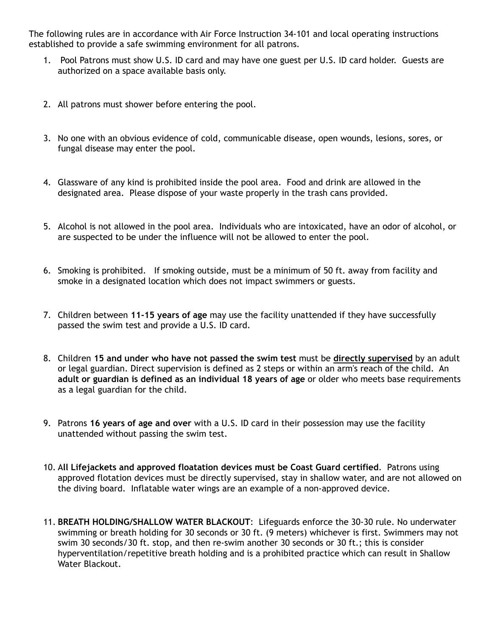The following rules are in accordance with Air Force Instruction 34-101 and local operating instructions established to provide a safe swimming environment for all patrons.

- 1. Pool Patrons must show U.S. ID card and may have one guest per U.S. ID card holder. Guests are authorized on a space available basis only.
- 2. All patrons must shower before entering the pool.
- 3. No one with an obvious evidence of cold, communicable disease, open wounds, lesions, sores, or fungal disease may enter the pool.
- 4. Glassware of any kind is prohibited inside the pool area. Food and drink are allowed in the designated area. Please dispose of your waste properly in the trash cans provided.
- 5. Alcohol is not allowed in the pool area. Individuals who are intoxicated, have an odor of alcohol, or are suspected to be under the influence will not be allowed to enter the pool.
- 6. Smoking is prohibited. If smoking outside, must be a minimum of 50 ft. away from facility and smoke in a designated location which does not impact swimmers or guests.
- 7. Children between **11-15 years of age** may use the facility unattended if they have successfully passed the swim test and provide a U.S. ID card.
- 8. Children **15 and under who have not passed the swim test** must be **directly supervised** by an adult or legal guardian. Direct supervision is defined as 2 steps or within an arm's reach of the child. An **adult or guardian is defined as an individual 18 years of age** or older who meets base requirements as a legal guardian for the child.
- 9. Patrons **16 years of age and over** with a U.S. ID card in their possession may use the facility unattended without passing the swim test.
- 10. A**ll Lifejackets and approved floatation devices must be Coast Guard certified**. Patrons using approved flotation devices must be directly supervised, stay in shallow water, and are not allowed on the diving board. Inflatable water wings are an example of a non-approved device.
- 11. **BREATH HOLDING/SHALLOW WATER BLACKOUT**: Lifeguards enforce the 30-30 rule. No underwater swimming or breath holding for 30 seconds or 30 ft. (9 meters) whichever is first. Swimmers may not swim 30 seconds/30 ft. stop, and then re-swim another 30 seconds or 30 ft.; this is consider hyperventilation/repetitive breath holding and is a prohibited practice which can result in Shallow Water Blackout.